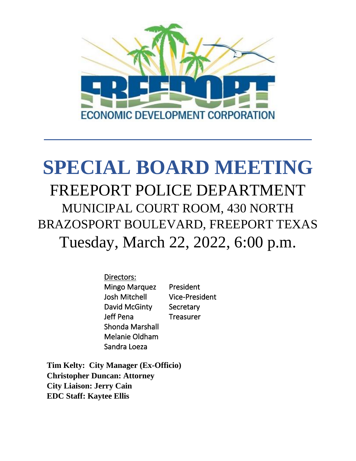

# **SPECIAL BOARD MEETING** FREEPORT POLICE DEPARTMENT MUNICIPAL COURT ROOM, 430 NORTH BRAZOSPORT BOULEVARD, FREEPORT TEXAS Tuesday, March 22, 2022, 6:00 p.m.

Directors: Mingo Marquez President Josh Mitchell Vice-President David McGinty Secretary Jeff Pena Treasurer Shonda Marshall Melanie Oldham Sandra Loeza

**Tim Kelty: City Manager (Ex-Officio) Christopher Duncan: Attorney City Liaison: Jerry Cain EDC Staff: Kaytee Ellis**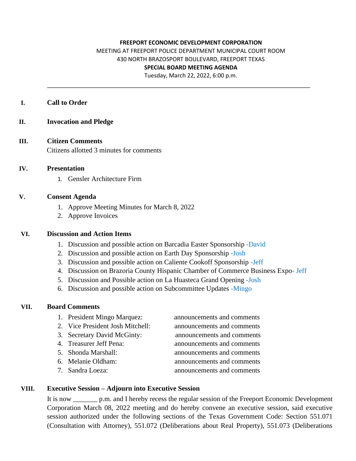#### **FREEPORT ECONOMIC DEVELOPMENT CORPORATION**

# MEETING AT FREEPORT POLICE DEPARTMENT MUNICIPAL COURT ROOM 430 NORTH BRAZOSPORT BOULEVARD, FREEPORT TEXAS **SPECIAL BOARD MEETING AGENDA**

Tuesday, March 22, 2022, 6:00 p.m.

#### **I. Call to Order**

## **II. Invocation and Pledge**

# **III. Citizen Comments**

Citizens allotted 3 minutes for comments

## **IV. Presentation**

1. Gensler Architecture Firm

## **V. Consent Agenda**

- 1. Approve Meeting Minutes for March 8, 2022
- 2. Approve Invoices

## **VI. Discussion and Action Items**

- 1. Discussion and possible action on Barcadia Easter Sponsorship -David
- 2. Discussion and possible action on Earth Day Sponsorship -Josh
- 3. Discussion and possible action on Caliente Cookoff Sponsorship -Jeff
- 4. Discussion on Brazoria County Hispanic Chamber of Commerce Business Expo- Jeff
- 5. Discussion and Possible action on La Huasteca Grand Opening -Josh
- 6. Discussion and possible action on Subcommittee Updates -Mingo

## **VII. Board Comments**

- 1. President Mingo Marquez: announcements and comments
- 2. Vice President Josh Mitchell: announcements and comments
- 
- 
- 
- 
- 

3. Secretary David McGinty: announcements and comments 4. Treasurer Jeff Pena: announcements and comments 5. Shonda Marshall: announcements and comments 6. Melanie Oldham: announcements and comments 7. Sandra Loeza: announcements and comments

# **VIII. Executive Session – Adjourn into Executive Session**

It is now \_\_\_\_\_\_\_ p.m. and I hereby recess the regular session of the Freeport Economic Development Corporation March 08, 2022 meeting and do hereby convene an executive session, said executive session authorized under the following sections of the Texas Government Code: Section 551.071 (Consultation with Attorney), 551.072 (Deliberations about Real Property), 551.073 (Deliberations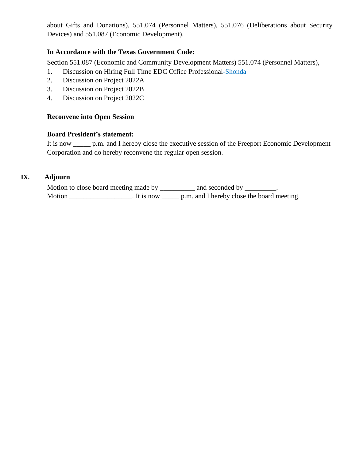about Gifts and Donations), 551.074 (Personnel Matters), 551.076 (Deliberations about Security Devices) and 551.087 (Economic Development).

#### **In Accordance with the Texas Government Code:**

Section 551.087 (Economic and Community Development Matters) 551.074 (Personnel Matters),

- 1. Discussion on Hiring Full Time EDC Office Professional-Shonda
- 2. Discussion on Project 2022A
- 3. Discussion on Project 2022B
- 4. Discussion on Project 2022C

#### **Reconvene into Open Session**

#### **Board President's statement:**

It is now \_\_\_\_\_ p.m. and I hereby close the executive session of the Freeport Economic Development Corporation and do hereby reconvene the regular open session.

#### **IX. Adjourn**

Motion to close board meeting made by \_\_\_\_\_\_\_\_\_ and seconded by \_\_\_\_\_\_\_\_. Motion \_\_\_\_\_\_\_\_\_\_\_\_\_\_\_\_. It is now \_\_\_\_\_\_ p.m. and I hereby close the board meeting.